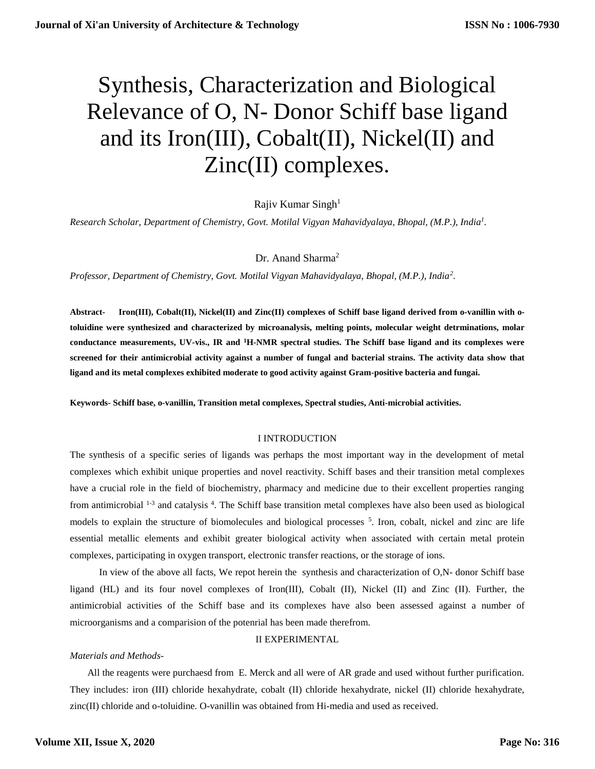# Synthesis, Characterization and Biological Relevance of O, N- Donor Schiff base ligand and its Iron(III), Cobalt(II), Nickel(II) and Zinc(II) complexes.

## Rajiv Kumar Singh $1$

*Research Scholar, Department of Chemistry, Govt. Motilal Vigyan Mahavidyalaya, Bhopal, (M.P.), India<sup>1</sup> .* 

Dr. Anand Sharma<sup>2</sup>

*Professor, Department of Chemistry, Govt. Motilal Vigyan Mahavidyalaya, Bhopal, (M.P.), India<sup>2</sup> .* 

**Abstract***-* **Iron(III), Cobalt(II), Nickel(II) and Zinc(II) complexes of Schiff base ligand derived from o-vanillin with otoluidine were synthesized and characterized by microanalysis, melting points, molecular weight detrminations, molar conductance measurements, UV-vis., IR and <sup>1</sup>H-NMR spectral studies. The Schiff base ligand and its complexes were screened for their antimicrobial activity against a number of fungal and bacterial strains. The activity data show that ligand and its metal complexes exhibited moderate to good activity against Gram-positive bacteria and fungai.**

**Keywords***-* **Schiff base, o-vanillin, Transition metal complexes, Spectral studies, Anti-microbial activities.**

#### I INTRODUCTION

The synthesis of a specific series of ligands was perhaps the most important way in the development of metal complexes which exhibit unique properties and novel reactivity. Schiff bases and their transition metal complexes have a crucial role in the field of biochemistry, pharmacy and medicine due to their excellent properties ranging from antimicrobial <sup>1-3</sup> and catalysis <sup>4</sup>. The Schiff base transition metal complexes have also been used as biological models to explain the structure of biomolecules and biological processes  $<sup>5</sup>$ . Iron, cobalt, nickel and zinc are life</sup> essential metallic elements and exhibit greater biological activity when associated with certain metal protein complexes, participating in oxygen transport, electronic transfer reactions, or the storage of ions.

 In view of the above all facts, We repot herein the synthesis and characterization of O,N- donor Schiff base ligand (HL) and its four novel complexes of Iron(III), Cobalt (II), Nickel (II) and Zinc (II). Further, the antimicrobial activities of the Schiff base and its complexes have also been assessed against a number of microorganisms and a comparision of the potenrial has been made therefrom.

## II EXPERIMENTAL

#### *Materials and Methods-*

 All the reagents were purchaesd from E. Merck and all were of AR grade and used without further purification. They includes: iron (III) chloride hexahydrate, cobalt (II) chloride hexahydrate, nickel (II) chloride hexahydrate, zinc(II) chloride and o-toluidine. O-vanillin was obtained from Hi-media and used as received.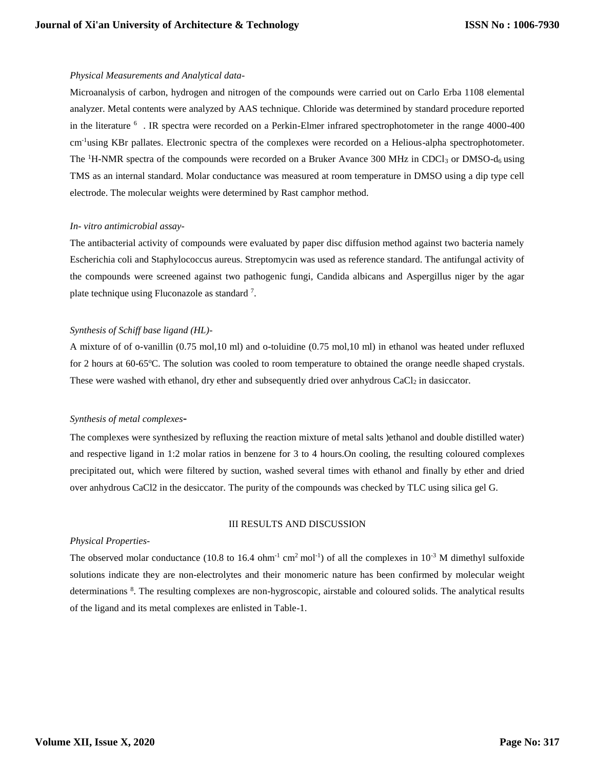#### *Physical Measurements and Analytical data-*

Microanalysis of carbon, hydrogen and nitrogen of the compounds were carried out on Carlo Erba 1108 elemental analyzer. Metal contents were analyzed by AAS technique. Chloride was determined by standard procedure reported in the literature <sup>6</sup>. IR spectra were recorded on a Perkin-Elmer infrared spectrophotometer in the range 4000-400 cm-1using KBr pallates. Electronic spectra of the complexes were recorded on a Helious-alpha spectrophotometer. The <sup>1</sup>H-NMR spectra of the compounds were recorded on a Bruker Avance 300 MHz in CDCl<sub>3</sub> or DMSO-d<sub>6</sub> using TMS as an internal standard. Molar conductance was measured at room temperature in DMSO using a dip type cell electrode. The molecular weights were determined by Rast camphor method.

## *In- vitro antimicrobial assay-*

The antibacterial activity of compounds were evaluated by paper disc diffusion method against two bacteria namely Escherichia coli and Staphylococcus aureus. Streptomycin was used as reference standard. The antifungal activity of the compounds were screened against two pathogenic fungi, Candida albicans and Aspergillus niger by the agar plate technique using Fluconazole as standard<sup>7</sup>.

#### *Synthesis of Schiff base ligand (HL)-*

A mixture of of o-vanillin (0.75 mol,10 ml) and o-toluidine (0.75 mol,10 ml) in ethanol was heated under refluxed for 2 hours at 60-65°C. The solution was cooled to room temperature to obtained the orange needle shaped crystals. These were washed with ethanol, dry ether and subsequently dried over anhydrous  $CaCl<sub>2</sub>$  in dasiccator.

#### *Synthesis of metal complexes***-**

The complexes were synthesized by refluxing the reaction mixture of metal salts )ethanol and double distilled water) and respective ligand in 1:2 molar ratios in benzene for 3 to 4 hours.On cooling, the resulting coloured complexes precipitated out, which were filtered by suction, washed several times with ethanol and finally by ether and dried over anhydrous CaCl2 in the desiccator. The purity of the compounds was checked by TLC using silica gel G.

## III RESULTS AND DISCUSSION

#### *Physical Properties-*

The observed molar conductance (10.8 to 16.4 ohm<sup>-1</sup> cm<sup>2</sup> mol<sup>-1</sup>) of all the complexes in 10<sup>-3</sup> M dimethyl sulfoxide solutions indicate they are non-electrolytes and their monomeric nature has been confirmed by molecular weight determinations <sup>8</sup>. The resulting complexes are non-hygroscopic, airstable and coloured solids. The analytical results of the ligand and its metal complexes are enlisted in Table-1.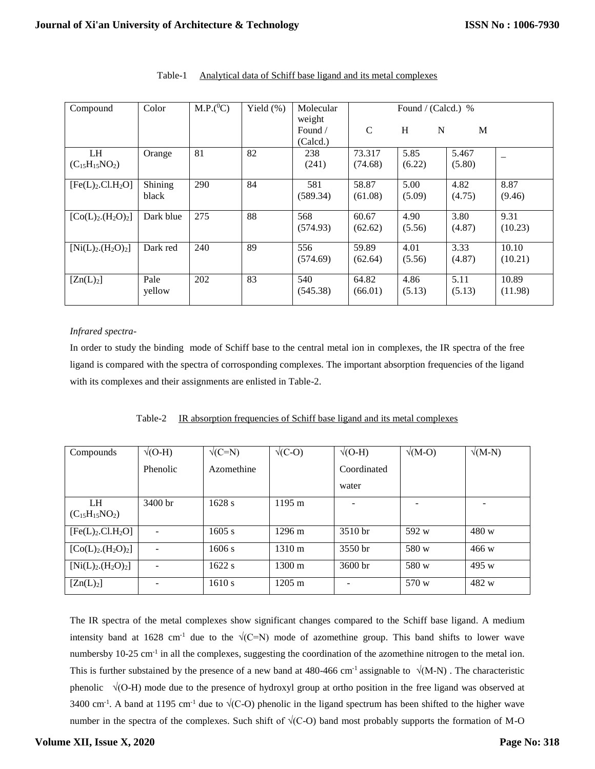| Compound                                  | Color            | $M.P.(^0C)$ | Yield $(\%)$ | Molecular                     | Found / (Calcd.) % |                |                 |                  |
|-------------------------------------------|------------------|-------------|--------------|-------------------------------|--------------------|----------------|-----------------|------------------|
|                                           |                  |             |              | weight<br>Found /<br>(Calcd.) | $\mathcal{C}$      | H<br>N         | M               |                  |
| <b>LH</b><br>$(C_{15}H_{15}NO_2)$         | Orange           | 81          | 82           | 238<br>(241)                  | 73.317<br>(74.68)  | 5.85<br>(6.22) | 5.467<br>(5.80) |                  |
| [Fe(L) <sub>2</sub> .Cl.H <sub>2</sub> O] | Shining<br>black | 290         | 84           | 581<br>(589.34)               | 58.87<br>(61.08)   | 5.00<br>(5.09) | 4.82<br>(4.75)  | 8.87<br>(9.46)   |
| $[Co(L)2(H2O)2]$                          | Dark blue        | 275         | 88           | 568<br>(574.93)               | 60.67<br>(62.62)   | 4.90<br>(5.56) | 3.80<br>(4.87)  | 9.31<br>(10.23)  |
| $[Ni(L)2(H2O)2]$                          | Dark red         | 240         | 89           | 556<br>(574.69)               | 59.89<br>(62.64)   | 4.01<br>(5.56) | 3.33<br>(4.87)  | 10.10<br>(10.21) |
| [Zn(L) <sub>2</sub> ]                     | Pale<br>yellow   | 202         | 83           | 540<br>(545.38)               | 64.82<br>(66.01)   | 4.86<br>(5.13) | 5.11<br>(5.13)  | 10.89<br>(11.98) |

## Table-1 Analytical data of Schiff base ligand and its metal complexes

## *Infrared spectra-*

In order to study the binding mode of Schiff base to the central metal ion in complexes, the IR spectra of the free ligand is compared with the spectra of corrosponding complexes. The important absorption frequencies of the ligand with its complexes and their assignments are enlisted in Table-2.

|  |  | Table-2 IR absorption frequencies of Schiff base ligand and its metal complexes |  |  |
|--|--|---------------------------------------------------------------------------------|--|--|
|  |  |                                                                                 |  |  |

| Compounds                                 | $\sqrt{(O-H)}$  | $\sqrt{(C=N)}$ | $\sqrt{(C-O)}$   | $\sqrt{(O-H)}$           | $\sqrt{(M-O)}$ | $\sqrt{(M-N)}$ |
|-------------------------------------------|-----------------|----------------|------------------|--------------------------|----------------|----------------|
|                                           | <b>Phenolic</b> | Azomethine     |                  | Coordinated              |                |                |
|                                           |                 |                |                  | water                    |                |                |
| LH.<br>$(C_{15}H_{15}NO_2)$               | $3400$ br       | 1628 s         | $1195 \text{ m}$ | $\overline{\phantom{0}}$ |                |                |
| [Fe(L) <sub>2</sub> .Cl.H <sub>2</sub> O] |                 | $1605$ s       | $1296 \text{ m}$ | 3510 <sub>br</sub>       | 592 w          | 480 w          |
| $[Co(L)2(H2O)2]$                          |                 | 1606 s         | $1310 \text{ m}$ | 3550 <sub>hr</sub>       | 580 w          | 466 w          |
| $[Ni(L)2(H2O)2]$                          |                 | 1622 s         | $1300 \text{ m}$ | $3600 \,\mathrm{hr}$     | 580 w          | 495 w          |
| [Zn(L) <sub>2</sub> ]                     |                 | 1610 s         | $1205 \text{ m}$ |                          | 570 w          | 482 w          |

The IR spectra of the metal complexes show significant changes compared to the Schiff base ligand. A medium intensity band at 1628 cm<sup>-1</sup> due to the  $\sqrt{(C=N)}$  mode of azomethine group. This band shifts to lower wave numbersby  $10\n-25$  cm<sup>-1</sup> in all the complexes, suggesting the coordination of the azomethine nitrogen to the metal ion. This is further substained by the presence of a new band at 480-466 cm<sup>-1</sup> assignable to  $\sqrt{(M-N)}$ . The characteristic phenolic  $\sqrt{(O-H)}$  mode due to the presence of hydroxyl group at ortho position in the free ligand was observed at 3400 cm<sup>-1</sup>. A band at 1195 cm<sup>-1</sup> due to  $\sqrt{(C-O)}$  phenolic in the ligand spectrum has been shifted to the higher wave number in the spectra of the complexes. Such shift of  $\sqrt{(C-C)}$  band most probably supports the formation of M-O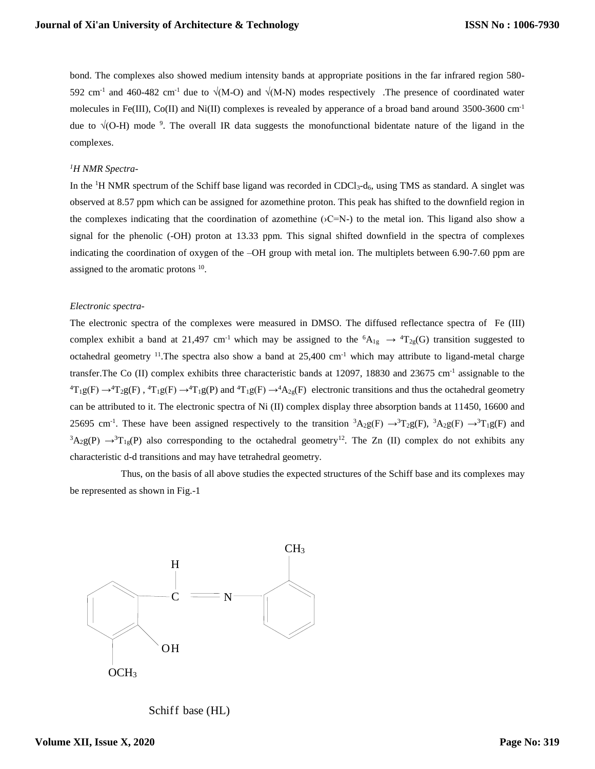bond. The complexes also showed medium intensity bands at appropriate positions in the far infrared region 580- 592 cm<sup>-1</sup> and 460-482 cm<sup>-1</sup> due to  $\sqrt{(M-O)}$  and  $\sqrt{(M-N)}$  modes respectively. The presence of coordinated water molecules in Fe(III), Co(II) and Ni(II) complexes is revealed by apperance of a broad band around 3500-3600 cm<sup>-1</sup> due to  $\sqrt{(O-H)}$  mode <sup>9</sup>. The overall IR data suggests the monofunctional bidentate nature of the ligand in the complexes.

#### *1H NMR Spectra-*

In the  ${}^{1}$ H NMR spectrum of the Schiff base ligand was recorded in CDCl<sub>3</sub>-d<sub>6</sub>, using TMS as standard. A singlet was observed at 8.57 ppm which can be assigned for azomethine proton. This peak has shifted to the downfield region in the complexes indicating that the coordination of azomethine  $(\angle C=N-)$  to the metal ion. This ligand also show a signal for the phenolic (-OH) proton at 13.33 ppm. This signal shifted downfield in the spectra of complexes indicating the coordination of oxygen of the –OH group with metal ion. The multiplets between 6.90-7.60 ppm are assigned to the aromatic protons  $10$ .

#### *Electronic spectra-*

The electronic spectra of the complexes were measured in DMSO. The diffused reflectance spectra of Fe (III) complex exhibit a band at 21,497 cm<sup>-1</sup> which may be assigned to the  ${}^6A_{1g} \rightarrow {}^4T_{2g}(G)$  transition suggested to octahedral geometry <sup>11</sup>. The spectra also show a band at  $25,400 \text{ cm}^{-1}$  which may attribute to ligand-metal charge transfer. The Co (II) complex exhibits three characteristic bands at 12097, 18830 and 23675 cm<sup>-1</sup> assignable to the  ${}^{4}T_{1}g(F) \rightarrow {}^{4}T_{2}g(F)$ ,  ${}^{4}T_{1}g(F) \rightarrow {}^{4}T_{1}g(F)$  and  ${}^{4}T_{1}g(F) \rightarrow {}^{4}A_{2g}(F)$  electronic transitions and thus the octahedral geometry can be attributed to it. The electronic spectra of Ni (II) complex display three absorption bands at 11450, 16600 and 25695 cm<sup>-1</sup>. These have been assigned respectively to the transition  ${}^3A_2g(F) \rightarrow {}^3T_2g(F)$ ,  ${}^3A_2g(F) \rightarrow {}^3T_1g(F)$  and  $3A_2g(P) \rightarrow T_{1g}(P)$  also corresponding to the octahedral geometry<sup>12</sup>. The Zn (II) complex do not exhibits any characteristic d-d transitions and may have tetrahedral geometry.

 Thus, on the basis of all above studies the expected structures of the Schiff base and its complexes may be represented as shown in Fig.-1



Schiff base (HL)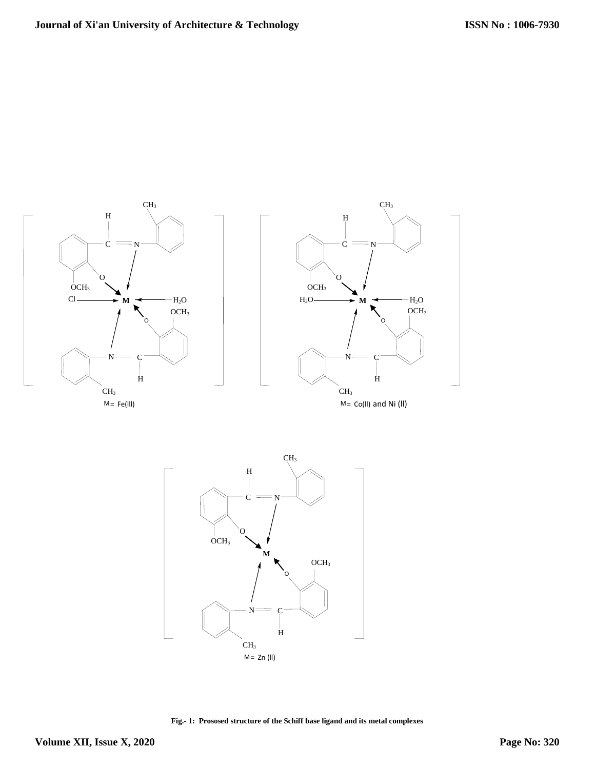



**Fig.- 1: Prososed structure of the Schiff base ligand and its metal complexes**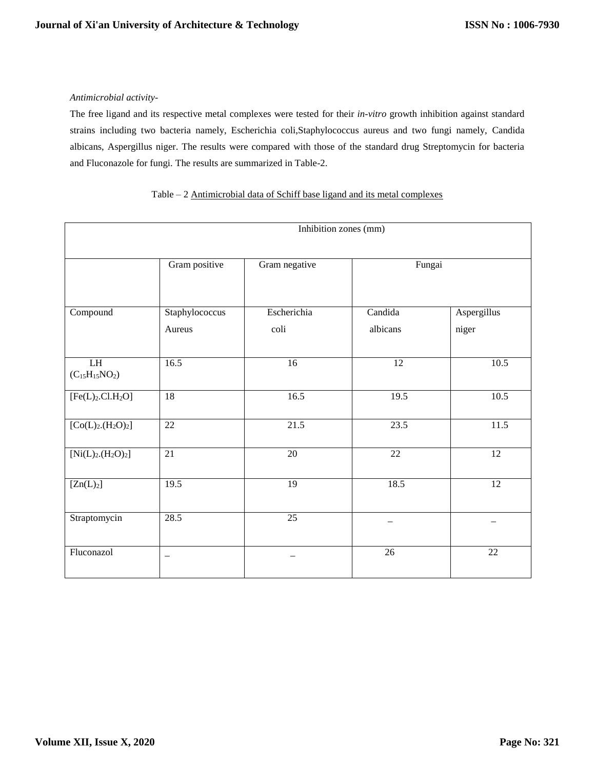## *Antimicrobial activity-*

The free ligand and its respective metal complexes were tested for their *in-vitro* growth inhibition against standard strains including two bacteria namely, Escherichia coli,Staphylococcus aureus and two fungi namely, Candida albicans, Aspergillus niger. The results were compared with those of the standard drug Streptomycin for bacteria and Fluconazole for fungi. The results are summarized in Table-2.

|                                             | Inhibition zones (mm)                    |                     |                     |                      |  |  |  |
|---------------------------------------------|------------------------------------------|---------------------|---------------------|----------------------|--|--|--|
|                                             | Gram positive<br>Fungai<br>Gram negative |                     |                     |                      |  |  |  |
| Compound                                    | Staphylococcus<br>Aureus                 | Escherichia<br>coli | Candida<br>albicans | Aspergillus<br>niger |  |  |  |
| $\overline{\rm LH}$<br>$(C_{15}H_{15}NO_2)$ | 16.5                                     | 16                  | $\overline{12}$     | 10.5                 |  |  |  |
| [Fe(L) <sub>2</sub> .Cl.H <sub>2</sub> O]   | 18                                       | 16.5                | 19.5                | 10.5                 |  |  |  |
| $[Co(L)2(H2O)2]$                            | $\overline{22}$                          | 21.5                | 23.5                | 11.5                 |  |  |  |
| $[Ni(L)2(H2O)2]$                            | $\overline{21}$                          | $\overline{20}$     | $\overline{22}$     | 12                   |  |  |  |
| [Zn(L) <sub>2</sub> ]                       | 19.5                                     | $\overline{19}$     | 18.5                | $\overline{12}$      |  |  |  |
| Straptomycin                                | 28.5                                     | 25                  |                     |                      |  |  |  |
| Fluconazol                                  |                                          |                     | 26                  | 22                   |  |  |  |

## Table – 2 Antimicrobial data of Schiff base ligand and its metal complexes